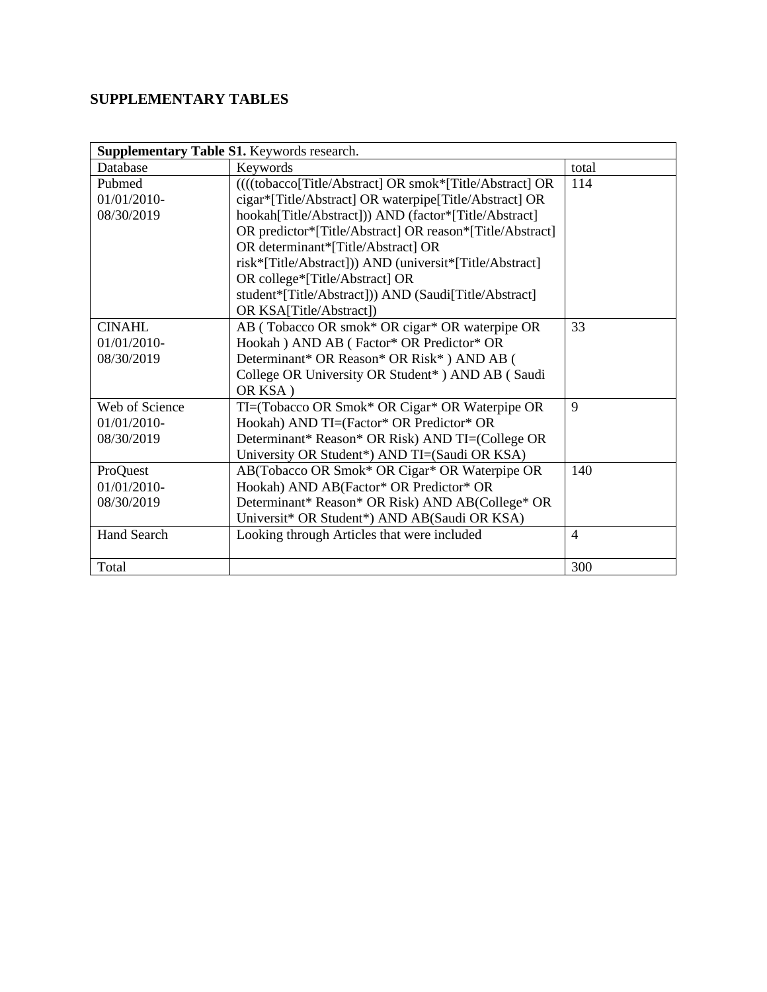## **SUPPLEMENTARY TABLES**

| Supplementary Table S1. Keywords research. |                                                          |                |  |  |  |  |  |
|--------------------------------------------|----------------------------------------------------------|----------------|--|--|--|--|--|
| Database                                   | Keywords                                                 | total          |  |  |  |  |  |
| Pubmed                                     | ((((tobacco[Title/Abstract] OR smok*[Title/Abstract] OR  | 114            |  |  |  |  |  |
| 01/01/2010-                                | cigar*[Title/Abstract] OR waterpipe[Title/Abstract] OR   |                |  |  |  |  |  |
| 08/30/2019                                 | hookah[Title/Abstract])) AND (factor*[Title/Abstract]    |                |  |  |  |  |  |
|                                            | OR predictor*[Title/Abstract] OR reason*[Title/Abstract] |                |  |  |  |  |  |
|                                            | OR determinant*[Title/Abstract] OR                       |                |  |  |  |  |  |
|                                            | risk*[Title/Abstract])) AND (universit*[Title/Abstract]  |                |  |  |  |  |  |
|                                            | OR college*[Title/Abstract] OR                           |                |  |  |  |  |  |
|                                            | student*[Title/Abstract])) AND (Saudi[Title/Abstract]    |                |  |  |  |  |  |
|                                            | OR KSA[Title/Abstract])                                  |                |  |  |  |  |  |
| <b>CINAHL</b>                              | AB (Tobacco OR smok* OR cigar* OR waterpipe OR           | 33             |  |  |  |  |  |
| 01/01/2010-                                | Hookah ) AND AB (Factor* OR Predictor* OR                |                |  |  |  |  |  |
| 08/30/2019                                 | Determinant* OR Reason* OR Risk*) AND AB (               |                |  |  |  |  |  |
|                                            | College OR University OR Student* ) AND AB (Saudi        |                |  |  |  |  |  |
|                                            | OR KSA)                                                  |                |  |  |  |  |  |
| Web of Science                             | TI=(Tobacco OR Smok* OR Cigar* OR Waterpipe OR           | 9              |  |  |  |  |  |
| $01/01/2010$ -                             | Hookah) AND TI=(Factor* OR Predictor* OR                 |                |  |  |  |  |  |
| 08/30/2019                                 | Determinant* Reason* OR Risk) AND TI=(College OR         |                |  |  |  |  |  |
|                                            | University OR Student*) AND TI=(Saudi OR KSA)            |                |  |  |  |  |  |
| ProQuest                                   | AB(Tobacco OR Smok* OR Cigar* OR Waterpipe OR            | 140            |  |  |  |  |  |
| $01/01/2010$ -                             | Hookah) AND AB(Factor* OR Predictor* OR                  |                |  |  |  |  |  |
| 08/30/2019                                 | Determinant* Reason* OR Risk) AND AB(College* OR         |                |  |  |  |  |  |
|                                            | Universit* OR Student*) AND AB(Saudi OR KSA)             |                |  |  |  |  |  |
| <b>Hand Search</b>                         | Looking through Articles that were included              | $\overline{4}$ |  |  |  |  |  |
|                                            |                                                          |                |  |  |  |  |  |
| Total                                      |                                                          | 300            |  |  |  |  |  |